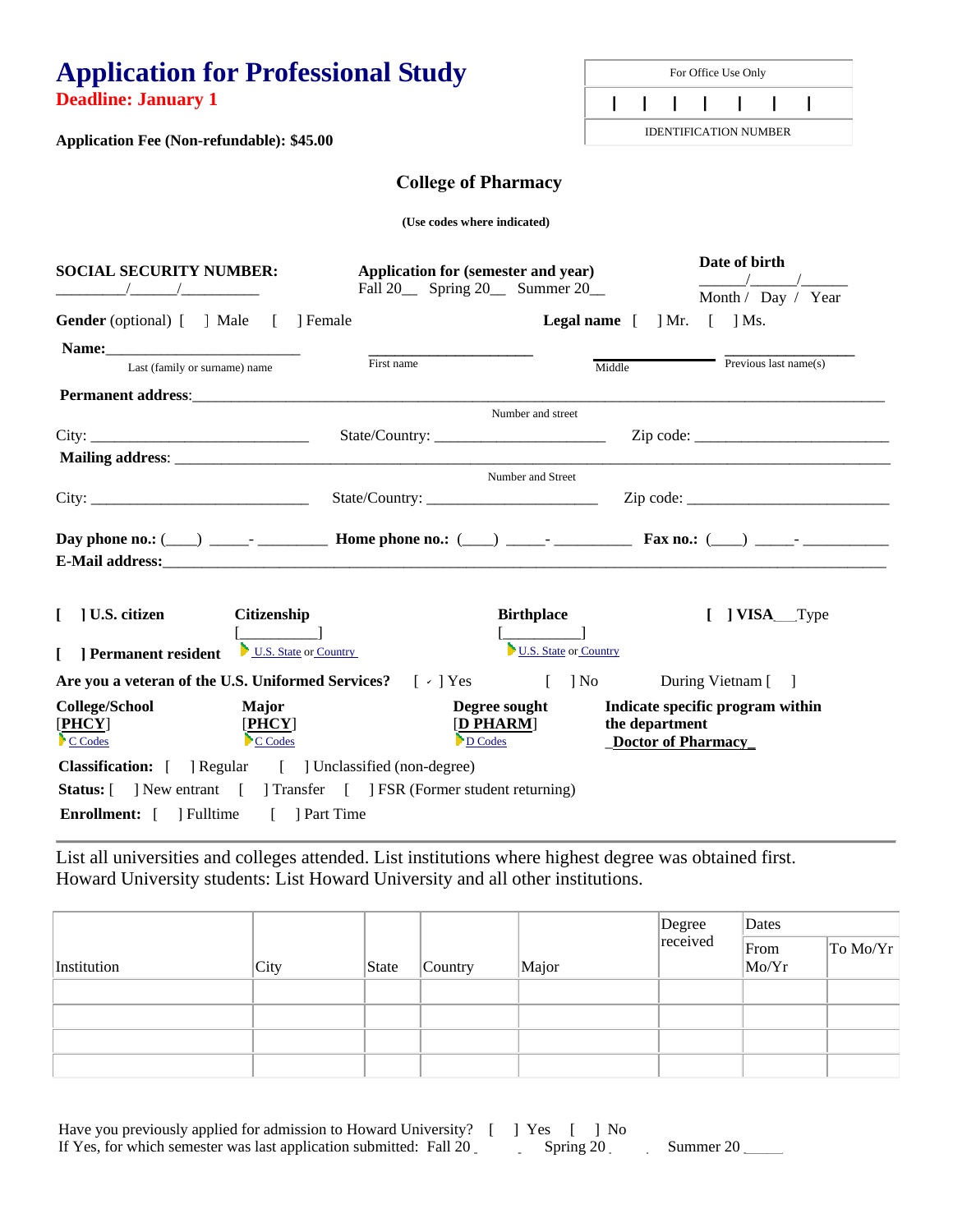**Application for Professional Study Deadline: January 1 Application Fee (Non-refundable): \$45.00** For Office Use Only  **| | | | | | |** IDENTIFICATION NUMBER **(Use codes where indicated) SOCIAL SECURITY NUMBER:** \_\_\_\_\_\_\_\_\_/\_\_\_\_\_\_/\_\_\_\_\_\_\_\_\_\_ **Application for (semester and year)** Fall 20\_\_ Spring 20\_\_ Summer 20\_ **Date of birth**  \_\_\_\_\_\_/\_\_\_\_\_\_/\_\_\_\_\_\_ Month / Day / Year Gender (optional)  $\begin{array}{ccc} \mid & \mid \text{Male} \\ \mid & \mid \text{Female} \end{array}$  **Legal name**  $\begin{array}{ccc} \mid & \mid \text{Mr.} \\ \mid & \mid \text{Ms.} \end{array}$ Name: Last (family or surname) name \_\_\_\_\_\_\_\_\_\_\_\_\_\_\_\_\_\_\_ First name Middle  $\overline{\phantom{a}}$  , where  $\overline{\phantom{a}}$ Previous last name(s) **Permanent address:**  Number and street City: \_\_\_\_\_\_\_\_\_\_\_\_\_\_\_\_\_\_\_\_\_\_\_\_\_\_\_\_ State/Country: \_\_\_\_\_\_\_\_\_\_\_\_\_\_\_\_\_\_\_\_\_\_ Zip code: \_\_\_\_\_\_\_\_\_\_\_\_\_\_\_\_\_\_\_\_\_\_\_\_\_  **Mailing address**: \_\_\_\_\_\_\_\_\_\_\_\_\_\_\_\_\_\_\_\_\_\_\_\_\_\_\_\_\_\_\_\_\_\_\_\_\_\_\_\_\_\_\_\_\_\_\_\_\_\_\_\_\_\_\_\_\_\_\_\_\_\_\_\_\_\_\_\_\_\_\_\_\_\_\_\_\_\_\_\_\_\_\_\_\_\_\_\_\_\_\_\_ Number and Street City: \_\_\_\_\_\_\_\_\_\_\_\_\_\_\_\_\_\_\_\_\_\_\_\_\_\_\_\_ State/Country: \_\_\_\_\_\_\_\_\_\_\_\_\_\_\_\_\_\_\_\_\_\_ Zip code: \_\_\_\_\_\_\_\_\_\_\_\_\_\_\_\_\_\_\_\_\_\_\_\_\_\_ **Day phone no.: (\_\_\_) \_\_\_\_\_-** \_\_\_\_\_\_\_\_\_\_ **Home phone no.: (\_\_\_) \_\_\_\_-** \_\_\_\_\_\_\_\_\_\_\_ **Fax no.: (\_\_\_) \_\_\_\_-** \_\_\_\_\_\_\_\_\_\_ **E-Mail address:**\_\_\_\_\_\_\_\_\_\_\_\_\_\_\_\_\_\_\_\_\_\_\_\_\_\_\_\_\_\_\_\_\_\_\_\_\_\_\_\_\_\_\_\_\_\_\_\_\_\_\_\_\_\_\_\_\_\_\_\_\_\_\_\_\_\_\_\_\_\_\_\_\_\_\_\_\_\_\_\_\_\_\_\_\_\_\_\_\_\_\_\_\_ **[ ] U.S. citizen [** ] Permanent resident <u>U.S. State</u> or Country **Citizenship**   $\lceil$ **Birthplace**   $[$ U.S. State or Country **[ ] VISA**\_\_\_Type **Are you a veteran of the U.S. Uniformed Services?** [  $\cdot$  ] Yes [ ] No During Vietnam [ ] **College/School**  [**PHCY**] C Codes **Major**  [**PHCY**] <sup>\*</sup>C Codes **Degree sought**  [**D PHARM**] D Codes **Indicate specific program within the department**  \_**Doctor of Pharmacy\_ Classification:**  $\begin{bmatrix} \phantom{-} \end{bmatrix}$  Regular  $\begin{bmatrix} \phantom{-} \end{bmatrix}$  Unclassified (non-degree) **Status:**  $\begin{bmatrix} \end{bmatrix}$  New entrant  $\begin{bmatrix} \end{bmatrix}$  Transfer  $\begin{bmatrix} \end{bmatrix}$  FSR (Former student returning) **Enrollment:**  $\begin{bmatrix} \quad \quad \end{bmatrix}$  Fulltime  $\begin{bmatrix} \quad \quad \end{bmatrix}$  Part Time **College of Pharmacy**   $\lceil$   $\vee$  | Yes

List all universities and colleges attended. List institutions where highest degree was obtained first. Howard University students: List Howard University and all other institutions.

|             |      |       |                      |       | Degree<br>received | Dates         |          |
|-------------|------|-------|----------------------|-------|--------------------|---------------|----------|
| Institution | City | State | $\sqrt{\frac{1}{2}}$ | Major |                    | From<br>Mo/Yr | To Mo/Yr |
|             |      |       |                      |       |                    |               |          |
|             |      |       |                      |       |                    |               |          |
|             |      |       |                      |       |                    |               |          |
|             |      |       |                      |       |                    |               |          |

Have you previously applied for admission to Howard University? [ ] Yes [ ] No If Yes, for which semester was last application submitted: Fall 20 \_\_\_\_\_\_\_\_ Spring 20 \_\_\_\_\_\_\_ Summer 20 \_\_\_\_\_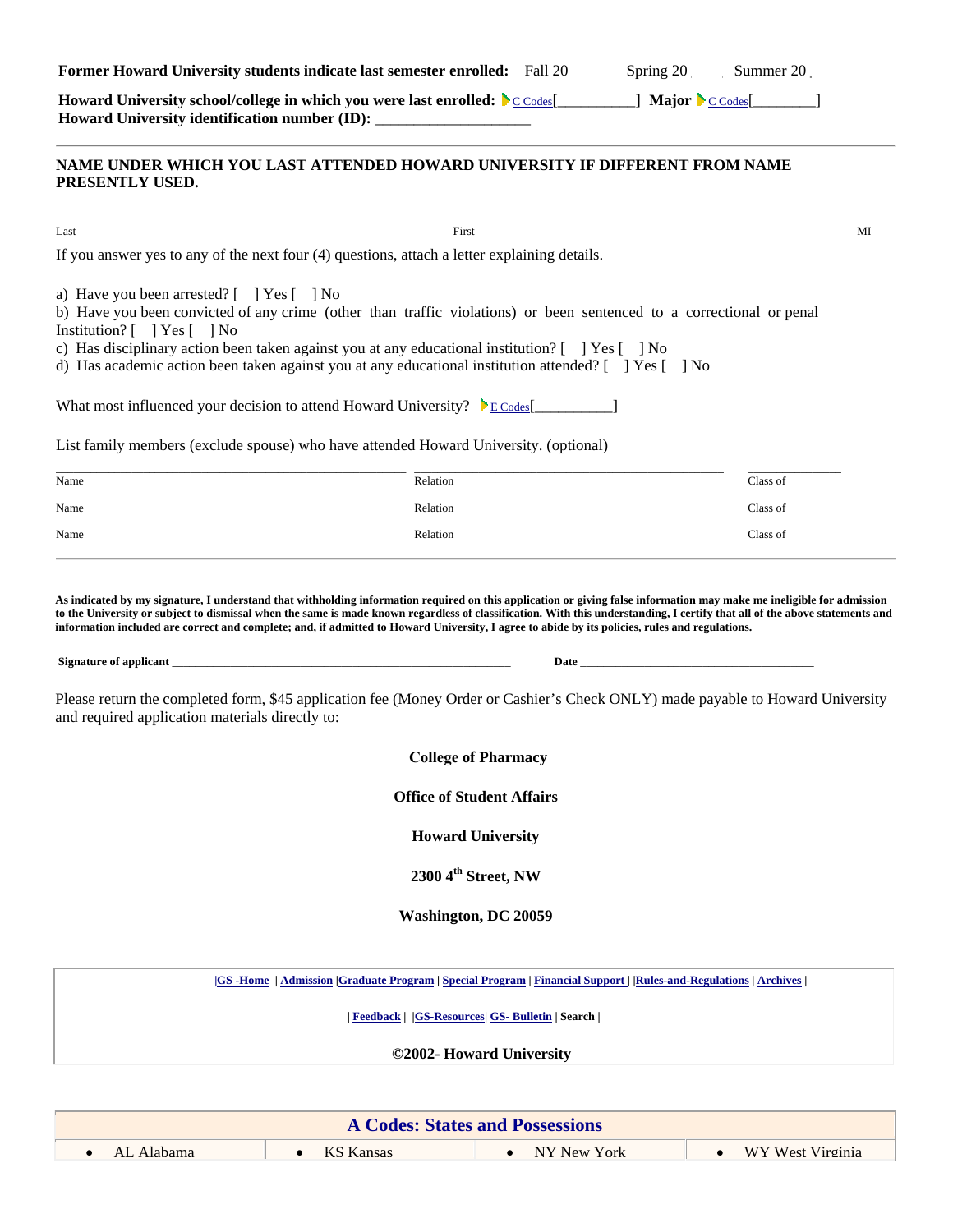| <b>Former Howard University students indicate last semester enrolled:</b> Fall 20 | Spring 20 | Summer 20 |
|-----------------------------------------------------------------------------------|-----------|-----------|

**Howard University school/college in which you were last enrolled:** C Codes[\_\_\_\_\_\_\_\_\_\_] **Major** C Codes[\_\_\_\_\_\_\_\_] Howard University identification number (ID): \_\_\_\_\_\_\_\_\_\_\_\_\_\_\_\_\_\_\_\_\_\_\_\_\_\_\_\_\_\_\_\_\_\_\_

### **NAME UNDER WHICH YOU LAST ATTENDED HOWARD UNIVERSITY IF DIFFERENT FROM NAME PRESENTLY USED.**

| Last                                                                                                                                                                                                                                                                                                                                                                                                          | First                         |                                                                                                                    | MI                            |  |
|---------------------------------------------------------------------------------------------------------------------------------------------------------------------------------------------------------------------------------------------------------------------------------------------------------------------------------------------------------------------------------------------------------------|-------------------------------|--------------------------------------------------------------------------------------------------------------------|-------------------------------|--|
| If you answer yes to any of the next four (4) questions, attach a letter explaining details.                                                                                                                                                                                                                                                                                                                  |                               |                                                                                                                    |                               |  |
| a) Have you been arrested? [   Yes [   No<br>b) Have you been convicted of any crime (other than traffic violations) or been sentenced to a correctional or penal<br>Institution? [ ] Yes [ ] No<br>c) Has disciplinary action been taken against you at any educational institution? [ ] Yes [ ] No<br>d) Has academic action been taken against you at any educational institution attended? [ ] Yes [ ] No |                               |                                                                                                                    |                               |  |
| What most influenced your decision to attend Howard University? $\mathcal{E}_{\text{E} \text{Codes}}$                                                                                                                                                                                                                                                                                                         |                               |                                                                                                                    |                               |  |
| List family members (exclude spouse) who have attended Howard University. (optional)                                                                                                                                                                                                                                                                                                                          |                               |                                                                                                                    |                               |  |
| Name                                                                                                                                                                                                                                                                                                                                                                                                          | Relation                      |                                                                                                                    | Class of                      |  |
| Name                                                                                                                                                                                                                                                                                                                                                                                                          | Relation                      |                                                                                                                    | Class of                      |  |
| Name                                                                                                                                                                                                                                                                                                                                                                                                          | Relation                      |                                                                                                                    | Class of                      |  |
| and required application materials directly to:                                                                                                                                                                                                                                                                                                                                                               |                               | <b>College of Pharmacy</b><br><b>Office of Student Affairs</b>                                                     |                               |  |
|                                                                                                                                                                                                                                                                                                                                                                                                               |                               | <b>Howard University</b>                                                                                           |                               |  |
|                                                                                                                                                                                                                                                                                                                                                                                                               |                               | 2300 4 <sup>th</sup> Street, NW                                                                                    |                               |  |
|                                                                                                                                                                                                                                                                                                                                                                                                               |                               |                                                                                                                    |                               |  |
|                                                                                                                                                                                                                                                                                                                                                                                                               |                               | <b>Washington, DC 20059</b>                                                                                        |                               |  |
|                                                                                                                                                                                                                                                                                                                                                                                                               |                               | GS -Home   Admission   Graduate Program   Special Program   Financial Support     Rules-and-Regulations   Archives |                               |  |
|                                                                                                                                                                                                                                                                                                                                                                                                               |                               | Feedback     GS-Resources   GS- Bulletin   Search                                                                  |                               |  |
|                                                                                                                                                                                                                                                                                                                                                                                                               |                               | ©2002- Howard University                                                                                           |                               |  |
|                                                                                                                                                                                                                                                                                                                                                                                                               |                               |                                                                                                                    |                               |  |
|                                                                                                                                                                                                                                                                                                                                                                                                               |                               | <b>A Codes: States and Possessions</b>                                                                             |                               |  |
| AL Alahama<br>$\bullet$                                                                                                                                                                                                                                                                                                                                                                                       | <b>KS Kansas</b><br>$\bullet$ | NY New York<br>$\bullet$                                                                                           | WY West Virginia<br>$\bullet$ |  |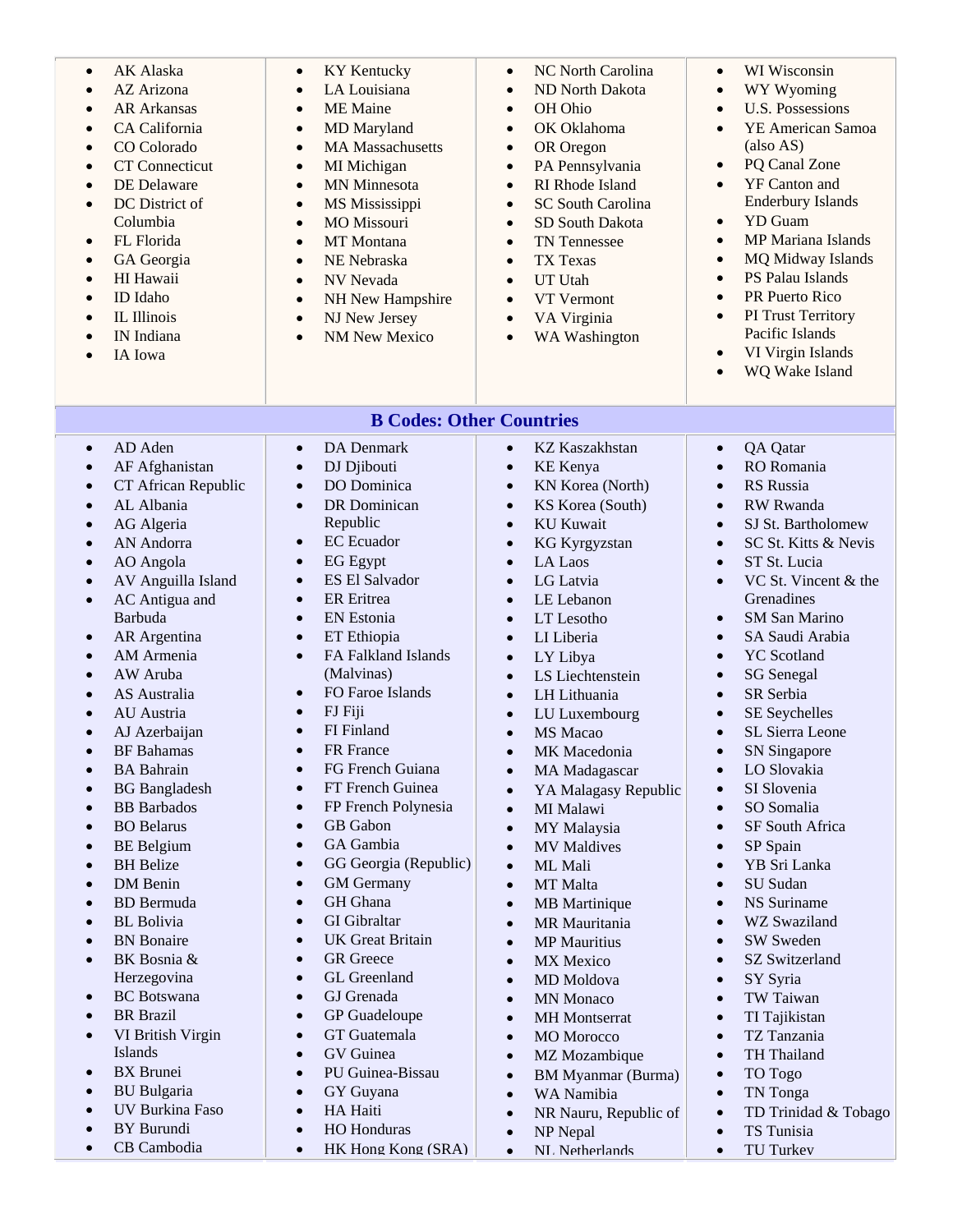| AK Alaska<br>$\bullet$<br>AZ Arizona<br>$\bullet$<br>$\bullet$<br>$\bullet$<br>$\bullet$<br>$\bullet$<br>$\bullet$<br>$\bullet$<br>Columbia<br>FL Florida<br>$\bullet$<br>GA Georgia<br>$\bullet$<br>HI Hawaii<br>$\bullet$<br>ID Idaho<br>$\bullet$<br>IL Illinois<br>$\bullet$<br>IN Indiana<br>IA Iowa | $\bullet$<br>$\bullet$<br><b>AR Arkansas</b><br>$\bullet$<br>CA California<br>$\bullet$<br>CO Colorado<br>$\bullet$<br><b>CT</b> Connecticut<br>$\bullet$<br>DE Delaware<br>$\bullet$<br>DC District of<br>$\bullet$<br>$\bullet$<br>$\bullet$<br>$\bullet$<br>$\bullet$<br>$\bullet$<br>$\bullet$<br>$\bullet$ | <b>KY Kentucky</b><br>LA Louisiana<br><b>ME</b> Maine<br>MD Maryland<br><b>MA Massachusetts</b><br>MI Michigan<br><b>MN</b> Minnesota<br>MS Mississippi<br><b>MO</b> Missouri<br>MT Montana<br>NE Nebraska<br><b>NV</b> Nevada<br>NH New Hampshire<br>NJ New Jersey<br><b>NM New Mexico</b> | $\bullet$<br>$\bullet$<br>$\bullet$<br>$\bullet$<br>$\bullet$<br>$\bullet$<br>$\bullet$<br>$\bullet$<br>$\bullet$<br>$\bullet$<br>$\bullet$<br>$\bullet$<br>$\bullet$<br>$\bullet$ | NC North Carolina<br>ND North Dakota<br>OH Ohio<br>OK Oklahoma<br>OR Oregon<br>PA Pennsylvania<br>RI Rhode Island<br><b>SC South Carolina</b><br>SD South Dakota<br><b>TN</b> Tennessee<br>TX Texas<br><b>UT Utah</b><br>VT Vermont<br>VA Virginia<br>WA Washington | $\bullet$<br>$\bullet$<br>$\bullet$<br>$\bullet$<br>$\bullet$<br>$\bullet$<br>$\bullet$<br>$\bullet$<br>$\bullet$<br>$\bullet$<br>$\bullet$<br>$\bullet$<br>$\bullet$<br>$\bullet$ | WI Wisconsin<br>WY Wyoming<br><b>U.S. Possessions</b><br>YE American Samoa<br>(also AS)<br>PQ Canal Zone<br>YF Canton and<br><b>Enderbury Islands</b><br><b>YD</b> Guam<br><b>MP</b> Mariana Islands<br><b>MQ Midway Islands</b><br>PS Palau Islands<br>PR Puerto Rico<br>PI Trust Territory<br>Pacific Islands<br>VI Virgin Islands<br>WQ Wake Island |
|-----------------------------------------------------------------------------------------------------------------------------------------------------------------------------------------------------------------------------------------------------------------------------------------------------------|-----------------------------------------------------------------------------------------------------------------------------------------------------------------------------------------------------------------------------------------------------------------------------------------------------------------|---------------------------------------------------------------------------------------------------------------------------------------------------------------------------------------------------------------------------------------------------------------------------------------------|------------------------------------------------------------------------------------------------------------------------------------------------------------------------------------|---------------------------------------------------------------------------------------------------------------------------------------------------------------------------------------------------------------------------------------------------------------------|------------------------------------------------------------------------------------------------------------------------------------------------------------------------------------|--------------------------------------------------------------------------------------------------------------------------------------------------------------------------------------------------------------------------------------------------------------------------------------------------------------------------------------------------------|
|                                                                                                                                                                                                                                                                                                           |                                                                                                                                                                                                                                                                                                                 | <b>B Codes: Other Countries</b>                                                                                                                                                                                                                                                             |                                                                                                                                                                                    |                                                                                                                                                                                                                                                                     |                                                                                                                                                                                    |                                                                                                                                                                                                                                                                                                                                                        |
| AD Aden<br>$\bullet$                                                                                                                                                                                                                                                                                      | $\bullet$                                                                                                                                                                                                                                                                                                       | DA Denmark                                                                                                                                                                                                                                                                                  | $\bullet$                                                                                                                                                                          | <b>KZ Kaszakhstan</b>                                                                                                                                                                                                                                               | $\bullet$                                                                                                                                                                          | QA Qatar                                                                                                                                                                                                                                                                                                                                               |
| $\bullet$                                                                                                                                                                                                                                                                                                 | AF Afghanistan<br>$\bullet$                                                                                                                                                                                                                                                                                     | DJ Djibouti                                                                                                                                                                                                                                                                                 | $\bullet$                                                                                                                                                                          | <b>KE</b> Kenya                                                                                                                                                                                                                                                     | $\bullet$                                                                                                                                                                          | RO Romania                                                                                                                                                                                                                                                                                                                                             |
| $\bullet$                                                                                                                                                                                                                                                                                                 | CT African Republic<br>$\bullet$                                                                                                                                                                                                                                                                                | DO Dominica                                                                                                                                                                                                                                                                                 | $\bullet$                                                                                                                                                                          | KN Korea (North)                                                                                                                                                                                                                                                    | $\bullet$                                                                                                                                                                          | RS Russia                                                                                                                                                                                                                                                                                                                                              |
| AL Albania<br>$\bullet$                                                                                                                                                                                                                                                                                   | $\bullet$                                                                                                                                                                                                                                                                                                       | DR Dominican                                                                                                                                                                                                                                                                                | $\bullet$                                                                                                                                                                          | KS Korea (South)                                                                                                                                                                                                                                                    | $\bullet$                                                                                                                                                                          | <b>RW</b> Rwanda                                                                                                                                                                                                                                                                                                                                       |
| AG Algeria<br>$\bullet$                                                                                                                                                                                                                                                                                   |                                                                                                                                                                                                                                                                                                                 | Republic                                                                                                                                                                                                                                                                                    | $\bullet$                                                                                                                                                                          | <b>KU Kuwait</b>                                                                                                                                                                                                                                                    | $\bullet$                                                                                                                                                                          | SJ St. Bartholomew                                                                                                                                                                                                                                                                                                                                     |
| AN Andorra<br>$\bullet$                                                                                                                                                                                                                                                                                   | $\bullet$                                                                                                                                                                                                                                                                                                       | <b>EC</b> Ecuador                                                                                                                                                                                                                                                                           | $\bullet$                                                                                                                                                                          | <b>KG Kyrgyzstan</b>                                                                                                                                                                                                                                                | $\bullet$                                                                                                                                                                          | SC St. Kitts & Nevis                                                                                                                                                                                                                                                                                                                                   |
| AO Angola<br>$\bullet$                                                                                                                                                                                                                                                                                    | $\bullet$                                                                                                                                                                                                                                                                                                       | EG Egypt                                                                                                                                                                                                                                                                                    | $\bullet$                                                                                                                                                                          | LA Laos                                                                                                                                                                                                                                                             | $\bullet$                                                                                                                                                                          | ST St. Lucia                                                                                                                                                                                                                                                                                                                                           |
| $\bullet$                                                                                                                                                                                                                                                                                                 | AV Anguilla Island<br>$\bullet$                                                                                                                                                                                                                                                                                 | ES El Salvador                                                                                                                                                                                                                                                                              | $\bullet$                                                                                                                                                                          | LG Latvia                                                                                                                                                                                                                                                           | $\bullet$                                                                                                                                                                          | VC St. Vincent & the                                                                                                                                                                                                                                                                                                                                   |
| $\bullet$                                                                                                                                                                                                                                                                                                 | AC Antigua and<br>$\bullet$                                                                                                                                                                                                                                                                                     | <b>ER</b> Eritrea                                                                                                                                                                                                                                                                           | $\bullet$                                                                                                                                                                          | LE Lebanon                                                                                                                                                                                                                                                          |                                                                                                                                                                                    | Grenadines                                                                                                                                                                                                                                                                                                                                             |
| Barbuda                                                                                                                                                                                                                                                                                                   | $\bullet$                                                                                                                                                                                                                                                                                                       | <b>EN</b> Estonia                                                                                                                                                                                                                                                                           | $\bullet$                                                                                                                                                                          | LT Lesotho                                                                                                                                                                                                                                                          | $\bullet$                                                                                                                                                                          | <b>SM San Marino</b>                                                                                                                                                                                                                                                                                                                                   |
| $\bullet$                                                                                                                                                                                                                                                                                                 | AR Argentina<br>$\bullet$                                                                                                                                                                                                                                                                                       | ET Ethiopia                                                                                                                                                                                                                                                                                 | $\bullet$                                                                                                                                                                          | LI Liberia                                                                                                                                                                                                                                                          | $\bullet$                                                                                                                                                                          | SA Saudi Arabia                                                                                                                                                                                                                                                                                                                                        |
| $\bullet$                                                                                                                                                                                                                                                                                                 | AM Armenia<br>$\bullet$                                                                                                                                                                                                                                                                                         | FA Falkland Islands<br>(Malvinas)                                                                                                                                                                                                                                                           | $\bullet$                                                                                                                                                                          | LY Libya                                                                                                                                                                                                                                                            | $\bullet$                                                                                                                                                                          | <b>YC</b> Scotland                                                                                                                                                                                                                                                                                                                                     |
| AW Aruba<br>$\bullet$                                                                                                                                                                                                                                                                                     | AS Australia<br>$\bullet$                                                                                                                                                                                                                                                                                       | FO Faroe Islands                                                                                                                                                                                                                                                                            | $\bullet$                                                                                                                                                                          | LS Liechtenstein                                                                                                                                                                                                                                                    | $\bullet$<br>$\bullet$                                                                                                                                                             | <b>SG</b> Senegal<br>SR Serbia                                                                                                                                                                                                                                                                                                                         |
| AU Austria<br>$\bullet$                                                                                                                                                                                                                                                                                   | $\bullet$                                                                                                                                                                                                                                                                                                       | FJ Fiji                                                                                                                                                                                                                                                                                     | $\bullet$<br>$\bullet$                                                                                                                                                             | LH Lithuania<br>LU Luxembourg                                                                                                                                                                                                                                       | $\bullet$                                                                                                                                                                          | <b>SE Seychelles</b>                                                                                                                                                                                                                                                                                                                                   |
| $\bullet$                                                                                                                                                                                                                                                                                                 | AJ Azerbaijan<br>$\bullet$                                                                                                                                                                                                                                                                                      | FI Finland                                                                                                                                                                                                                                                                                  | $\bullet$                                                                                                                                                                          | MS Macao                                                                                                                                                                                                                                                            | $\bullet$                                                                                                                                                                          | SL Sierra Leone                                                                                                                                                                                                                                                                                                                                        |
| $\bullet$                                                                                                                                                                                                                                                                                                 | <b>BF</b> Bahamas<br>$\bullet$                                                                                                                                                                                                                                                                                  | FR France                                                                                                                                                                                                                                                                                   |                                                                                                                                                                                    | MK Macedonia                                                                                                                                                                                                                                                        | $\bullet$                                                                                                                                                                          | <b>SN</b> Singapore                                                                                                                                                                                                                                                                                                                                    |
| <b>BA</b> Bahrain<br>$\bullet$                                                                                                                                                                                                                                                                            | $\bullet$                                                                                                                                                                                                                                                                                                       | FG French Guiana                                                                                                                                                                                                                                                                            | $\bullet$                                                                                                                                                                          | <b>MA</b> Madagascar                                                                                                                                                                                                                                                | $\bullet$                                                                                                                                                                          | LO Slovakia                                                                                                                                                                                                                                                                                                                                            |
| $\bullet$                                                                                                                                                                                                                                                                                                 | <b>BG</b> Bangladesh<br>$\bullet$                                                                                                                                                                                                                                                                               | FT French Guinea                                                                                                                                                                                                                                                                            | $\bullet$                                                                                                                                                                          | YA Malagasy Republic                                                                                                                                                                                                                                                | $\bullet$                                                                                                                                                                          | SI Slovenia                                                                                                                                                                                                                                                                                                                                            |
| $\bullet$                                                                                                                                                                                                                                                                                                 | <b>BB</b> Barbados<br>$\bullet$                                                                                                                                                                                                                                                                                 | FP French Polynesia                                                                                                                                                                                                                                                                         | $\bullet$                                                                                                                                                                          | MI Malawi                                                                                                                                                                                                                                                           | $\bullet$                                                                                                                                                                          | SO Somalia                                                                                                                                                                                                                                                                                                                                             |
| <b>BO</b> Belarus<br>$\bullet$                                                                                                                                                                                                                                                                            | $\bullet$                                                                                                                                                                                                                                                                                                       | GB Gabon                                                                                                                                                                                                                                                                                    | $\bullet$                                                                                                                                                                          | MY Malaysia                                                                                                                                                                                                                                                         | $\bullet$                                                                                                                                                                          | SF South Africa                                                                                                                                                                                                                                                                                                                                        |
| <b>BE</b> Belgium<br>$\bullet$                                                                                                                                                                                                                                                                            | $\bullet$                                                                                                                                                                                                                                                                                                       | GA Gambia                                                                                                                                                                                                                                                                                   | $\bullet$                                                                                                                                                                          | <b>MV</b> Maldives                                                                                                                                                                                                                                                  | $\bullet$                                                                                                                                                                          | SP Spain                                                                                                                                                                                                                                                                                                                                               |
| <b>BH</b> Belize<br>$\bullet$                                                                                                                                                                                                                                                                             | $\bullet$                                                                                                                                                                                                                                                                                                       | GG Georgia (Republic)                                                                                                                                                                                                                                                                       | $\bullet$                                                                                                                                                                          | ML Mali                                                                                                                                                                                                                                                             | $\bullet$                                                                                                                                                                          | YB Sri Lanka                                                                                                                                                                                                                                                                                                                                           |
| DM Benin<br>$\bullet$                                                                                                                                                                                                                                                                                     | $\bullet$                                                                                                                                                                                                                                                                                                       | <b>GM</b> Germany                                                                                                                                                                                                                                                                           | $\bullet$                                                                                                                                                                          | <b>MT</b> Malta                                                                                                                                                                                                                                                     | $\bullet$                                                                                                                                                                          | SU Sudan                                                                                                                                                                                                                                                                                                                                               |
|                                                                                                                                                                                                                                                                                                           | <b>BD</b> Bermuda<br>$\bullet$                                                                                                                                                                                                                                                                                  | GH Ghana                                                                                                                                                                                                                                                                                    | $\bullet$                                                                                                                                                                          | <b>MB</b> Martinique                                                                                                                                                                                                                                                | $\bullet$                                                                                                                                                                          | <b>NS</b> Suriname                                                                                                                                                                                                                                                                                                                                     |
| <b>BL</b> Bolivia<br>$\bullet$                                                                                                                                                                                                                                                                            | $\bullet$                                                                                                                                                                                                                                                                                                       | <b>GI</b> Gibraltar                                                                                                                                                                                                                                                                         | $\bullet$                                                                                                                                                                          | MR Mauritania                                                                                                                                                                                                                                                       | $\bullet$                                                                                                                                                                          | WZ Swaziland                                                                                                                                                                                                                                                                                                                                           |
| <b>BN</b> Bonaire<br>$\bullet$                                                                                                                                                                                                                                                                            | $\bullet$                                                                                                                                                                                                                                                                                                       | <b>UK</b> Great Britain                                                                                                                                                                                                                                                                     | $\bullet$                                                                                                                                                                          | <b>MP</b> Mauritius                                                                                                                                                                                                                                                 | $\bullet$                                                                                                                                                                          | SW Sweden                                                                                                                                                                                                                                                                                                                                              |
| $\bullet$                                                                                                                                                                                                                                                                                                 | BK Bosnia &<br>$\bullet$                                                                                                                                                                                                                                                                                        | <b>GR</b> Greece                                                                                                                                                                                                                                                                            | $\bullet$                                                                                                                                                                          | <b>MX</b> Mexico                                                                                                                                                                                                                                                    | $\bullet$                                                                                                                                                                          | SZ Switzerland                                                                                                                                                                                                                                                                                                                                         |
|                                                                                                                                                                                                                                                                                                           | Herzegovina<br>$\bullet$                                                                                                                                                                                                                                                                                        | GL Greenland                                                                                                                                                                                                                                                                                | $\bullet$                                                                                                                                                                          | MD Moldova                                                                                                                                                                                                                                                          | $\bullet$                                                                                                                                                                          | SY Syria                                                                                                                                                                                                                                                                                                                                               |
| $\bullet$                                                                                                                                                                                                                                                                                                 | <b>BC</b> Botswana<br>$\bullet$                                                                                                                                                                                                                                                                                 | GJ Grenada                                                                                                                                                                                                                                                                                  | $\bullet$                                                                                                                                                                          | <b>MN</b> Monaco                                                                                                                                                                                                                                                    | $\bullet$                                                                                                                                                                          | TW Taiwan                                                                                                                                                                                                                                                                                                                                              |
| <b>BR</b> Brazil<br>$\bullet$                                                                                                                                                                                                                                                                             | $\bullet$                                                                                                                                                                                                                                                                                                       | GP Guadeloupe                                                                                                                                                                                                                                                                               | $\bullet$                                                                                                                                                                          | <b>MH</b> Montserrat                                                                                                                                                                                                                                                | $\bullet$                                                                                                                                                                          | TI Tajikistan                                                                                                                                                                                                                                                                                                                                          |
| $\bullet$                                                                                                                                                                                                                                                                                                 | VI British Virgin<br>$\bullet$                                                                                                                                                                                                                                                                                  | GT Guatemala                                                                                                                                                                                                                                                                                | $\bullet$                                                                                                                                                                          | <b>MO</b> Morocco                                                                                                                                                                                                                                                   | $\bullet$                                                                                                                                                                          | TZ Tanzania                                                                                                                                                                                                                                                                                                                                            |
| Islands                                                                                                                                                                                                                                                                                                   | $\bullet$                                                                                                                                                                                                                                                                                                       | GV Guinea                                                                                                                                                                                                                                                                                   | $\bullet$                                                                                                                                                                          | MZ Mozambique                                                                                                                                                                                                                                                       | $\bullet$                                                                                                                                                                          | TH Thailand                                                                                                                                                                                                                                                                                                                                            |
| <b>BX</b> Brunei<br>$\bullet$                                                                                                                                                                                                                                                                             | $\bullet$                                                                                                                                                                                                                                                                                                       | PU Guinea-Bissau                                                                                                                                                                                                                                                                            | $\bullet$                                                                                                                                                                          | <b>BM Myanmar (Burma)</b>                                                                                                                                                                                                                                           | $\bullet$                                                                                                                                                                          | TO Togo                                                                                                                                                                                                                                                                                                                                                |
| <b>BU</b> Bulgaria<br>$\bullet$                                                                                                                                                                                                                                                                           | $\bullet$                                                                                                                                                                                                                                                                                                       | GY Guyana                                                                                                                                                                                                                                                                                   | $\bullet$                                                                                                                                                                          | WA Namibia                                                                                                                                                                                                                                                          | $\bullet$                                                                                                                                                                          | TN Tonga                                                                                                                                                                                                                                                                                                                                               |
| $\bullet$<br><b>BY</b> Burundi                                                                                                                                                                                                                                                                            | UV Burkina Faso<br>$\bullet$                                                                                                                                                                                                                                                                                    | HA Haiti                                                                                                                                                                                                                                                                                    | $\bullet$                                                                                                                                                                          | NR Nauru, Republic of                                                                                                                                                                                                                                               | $\bullet$                                                                                                                                                                          | TD Trinidad & Tobago                                                                                                                                                                                                                                                                                                                                   |
| $\bullet$<br>$\bullet$                                                                                                                                                                                                                                                                                    | $\bullet$<br>CB Cambodia<br>$\bullet$                                                                                                                                                                                                                                                                           | HO Honduras<br>HK Hong Kong (SRA)                                                                                                                                                                                                                                                           | $\bullet$                                                                                                                                                                          | NP Nepal<br>NL Netherlands                                                                                                                                                                                                                                          | $\bullet$<br>$\bullet$                                                                                                                                                             | TS Tunisia<br>TU Turkev                                                                                                                                                                                                                                                                                                                                |
|                                                                                                                                                                                                                                                                                                           |                                                                                                                                                                                                                                                                                                                 |                                                                                                                                                                                                                                                                                             | $\bullet$                                                                                                                                                                          |                                                                                                                                                                                                                                                                     |                                                                                                                                                                                    |                                                                                                                                                                                                                                                                                                                                                        |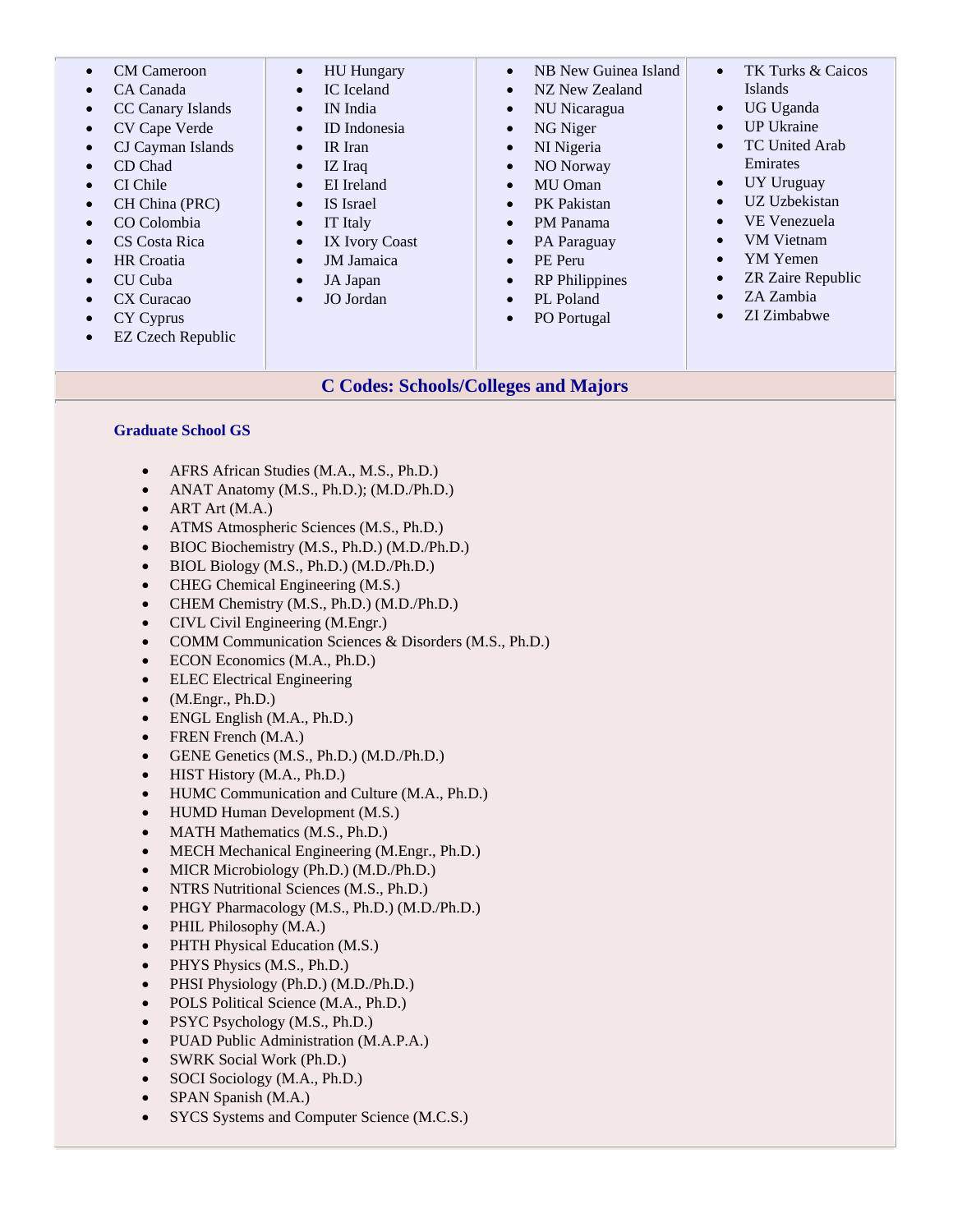| <b>CM</b> Cameroon                    | <b>HU</b> Hungary       | NB New Guinea Island        | TK Turks & Caicos         |
|---------------------------------------|-------------------------|-----------------------------|---------------------------|
|                                       | $\bullet$               | $\bullet$                   | $\bullet$                 |
| CA Canada                             | IC Iceland<br>$\bullet$ | NZ New Zealand<br>$\bullet$ | Islands                   |
| CC Canary Islands                     | IN India                | NU Nicaragua                | UG Uganda                 |
| $\bullet$                             | $\bullet$               | $\bullet$                   | $\bullet$                 |
| CV Cape Verde                         | ID Indonesia            | NG Niger                    | <b>UP Ukraine</b>         |
|                                       | $\bullet$               | $\bullet$                   | $\bullet$                 |
| CJ Cayman Islands                     | IR Iran                 | NI Nigeria                  | <b>TC United Arab</b>     |
|                                       | $\bullet$               | $\bullet$                   | $\bullet$                 |
| CD Chad                               | IZ Iraq                 | NO Norway                   | Emirates                  |
| $\bullet$                             | $\bullet$               | $\bullet$                   |                           |
| CI Chile                              | EI Ireland              | MU Oman                     | <b>UY Uruguay</b>         |
|                                       | $\bullet$               | $\bullet$                   | $\bullet$                 |
| CH China (PRC)                        | IS Israel               | PK Pakistan                 | UZ Uzbekistan             |
| $\bullet$                             | $\bullet$               | $\bullet$                   | $\bullet$                 |
| CO Colombia                           | IT Italy                | PM Panama<br>$\bullet$      | VE Venezuela<br>$\bullet$ |
| CS Costa Rica                         | IX Ivory Coast          | PA Paraguay                 | <b>VM</b> Vietnam         |
| $\bullet$                             |                         | $\bullet$                   | $\bullet$                 |
| <b>HR</b> Croatia                     | <b>JM</b> Jamaica       | PE Peru                     | YM Yemen                  |
| $\bullet$                             | $\bullet$               | $\bullet$                   | $\bullet$                 |
| CU Cuba                               | JA Japan                | <b>RP</b> Philippines       | ZR Zaire Republic         |
| $\bullet$                             | $\bullet$               | $\bullet$                   | $\bullet$                 |
| CX Curacao                            | JO Jordan               | PL Poland                   | ZA Zambia                 |
|                                       | $\bullet$               | $\bullet$                   | $\bullet$                 |
| <b>CY Cyprus</b>                      |                         | PO Portugal<br>$\bullet$    | ZI Zimbabwe<br>$\bullet$  |
| <b>EZ Czech Republic</b><br>$\bullet$ |                         |                             |                           |
|                                       |                         |                             |                           |

# **C Codes: Schools/Colleges and Majors**

#### **Graduate School GS**

- AFRS African Studies (M.A., M.S., Ph.D.)
- ANAT Anatomy (M.S., Ph.D.); (M.D./Ph.D.)
- $\bullet$  ART Art (M.A.)
- ATMS Atmospheric Sciences (M.S., Ph.D.)
- BIOC Biochemistry (M.S., Ph.D.) (M.D./Ph.D.)
- BIOL Biology (M.S., Ph.D.) (M.D./Ph.D.)
- CHEG Chemical Engineering (M.S.)
- CHEM Chemistry (M.S., Ph.D.) (M.D./Ph.D.)
- CIVL Civil Engineering (M.Engr.)
- COMM Communication Sciences & Disorders (M.S., Ph.D.)
- ECON Economics (M.A., Ph.D.)
- ELEC Electrical Engineering
- $\bullet$  (M.Engr., Ph.D.)
- ENGL English (M.A., Ph.D.)
- FREN French (M.A.)
- GENE Genetics (M.S., Ph.D.) (M.D./Ph.D.)
- HIST History (M.A., Ph.D.)
- HUMC Communication and Culture (M.A., Ph.D.)
- HUMD Human Development (M.S.)
- MATH Mathematics (M.S., Ph.D.)
- MECH Mechanical Engineering (M.Engr., Ph.D.)
- MICR Microbiology (Ph.D.) (M.D./Ph.D.)
- NTRS Nutritional Sciences (M.S., Ph.D.)
- PHGY Pharmacology (M.S., Ph.D.) (M.D./Ph.D.)
- PHIL Philosophy (M.A.)
- PHTH Physical Education (M.S.)
- PHYS Physics (M.S., Ph.D.)
- PHSI Physiology (Ph.D.) (M.D./Ph.D.)
- POLS Political Science (M.A., Ph.D.)
- PSYC Psychology (M.S., Ph.D.)
- PUAD Public Administration (M.A.P.A.)
- SWRK Social Work (Ph.D.)
- SOCI Sociology (M.A., Ph.D.)
- SPAN Spanish (M.A.)
- SYCS Systems and Computer Science (M.C.S.)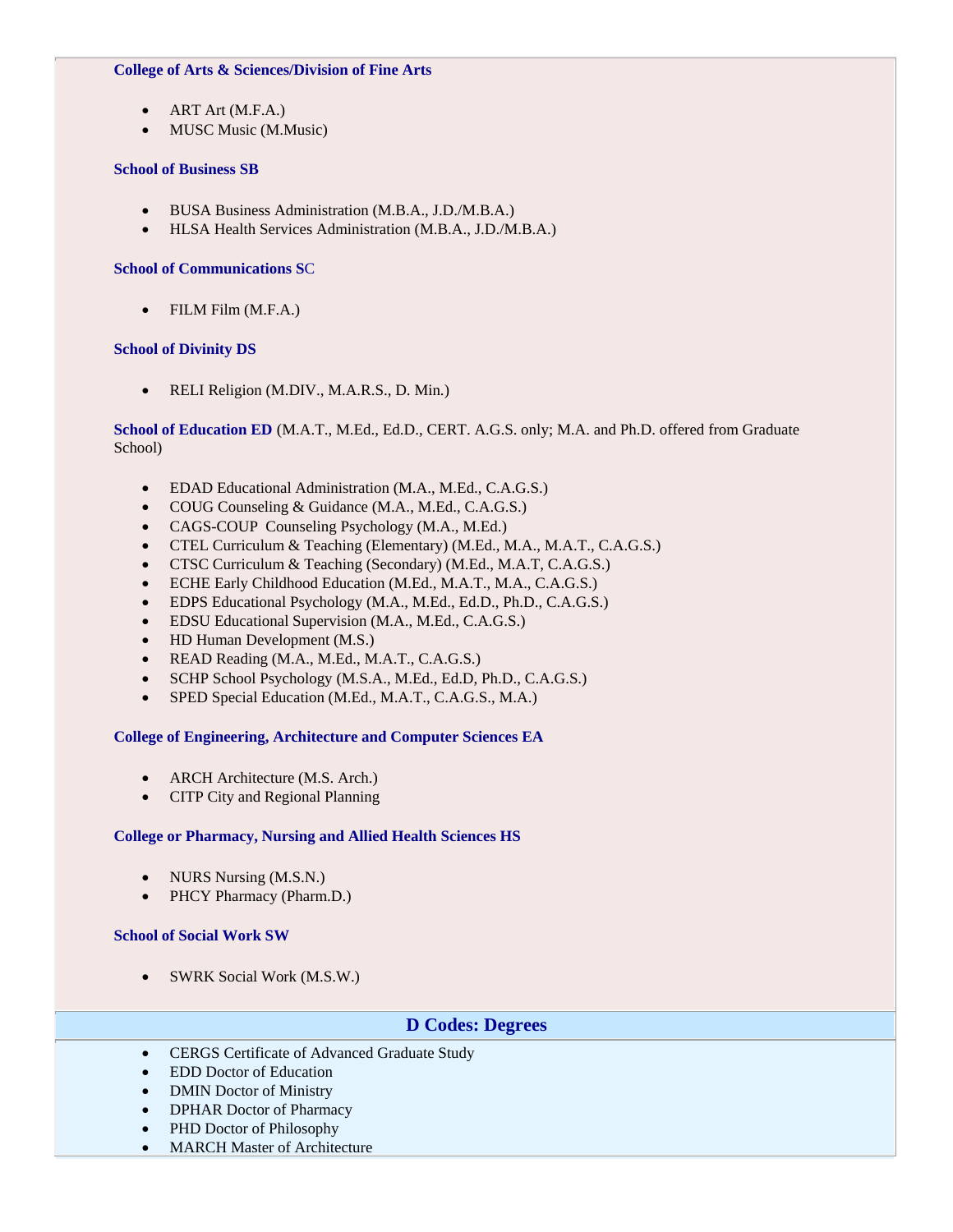#### **College of Arts & Sciences/Division of Fine Arts**

- ART Art (M.F.A.)
- MUSC Music (M.Music)

### **School of Business SB**

- BUSA Business Administration (M.B.A., J.D./M.B.A.)
- HLSA Health Services Administration (M.B.A., J.D./M.B.A.)

### **School of Communications S**C

• FILM Film (M.F.A.)

### **School of Divinity DS**

• RELI Religion (M.DIV., M.A.R.S., D. Min.)

**School of Education ED** (M.A.T., M.Ed., Ed.D., CERT. A.G.S. only; M.A. and Ph.D. offered from Graduate School)

- EDAD Educational Administration (M.A., M.Ed., C.A.G.S.)
- COUG Counseling & Guidance (M.A., M.Ed., C.A.G.S.)
- CAGS-COUP Counseling Psychology (M.A., M.Ed.)
- CTEL Curriculum & Teaching (Elementary) (M.Ed., M.A., M.A.T., C.A.G.S.)
- CTSC Curriculum & Teaching (Secondary) (M.Ed., M.A.T, C.A.G.S.)
- ECHE Early Childhood Education (M.Ed., M.A.T., M.A., C.A.G.S.)
- EDPS Educational Psychology (M.A., M.Ed., Ed.D., Ph.D., C.A.G.S.)
- EDSU Educational Supervision (M.A., M.Ed., C.A.G.S.)
- HD Human Development (M.S.)
- READ Reading (M.A., M.Ed., M.A.T., C.A.G.S.)
- SCHP School Psychology (M.S.A., M.Ed., Ed.D, Ph.D., C.A.G.S.)
- SPED Special Education (M.Ed., M.A.T., C.A.G.S., M.A.)

### **College of Engineering, Architecture and Computer Sciences EA**

- ARCH Architecture (M.S. Arch.)
- CITP City and Regional Planning

### **College or Pharmacy, Nursing and Allied Health Sciences HS**

- NURS Nursing (M.S.N.)
- PHCY Pharmacy (Pharm.D.)

### **School of Social Work SW**

• SWRK Social Work (M.S.W.)

## **D Codes: Degrees**

- CERGS Certificate of Advanced Graduate Study
- EDD Doctor of Education
- DMIN Doctor of Ministry
- DPHAR Doctor of Pharmacy
- PHD Doctor of Philosophy
- MARCH Master of Architecture